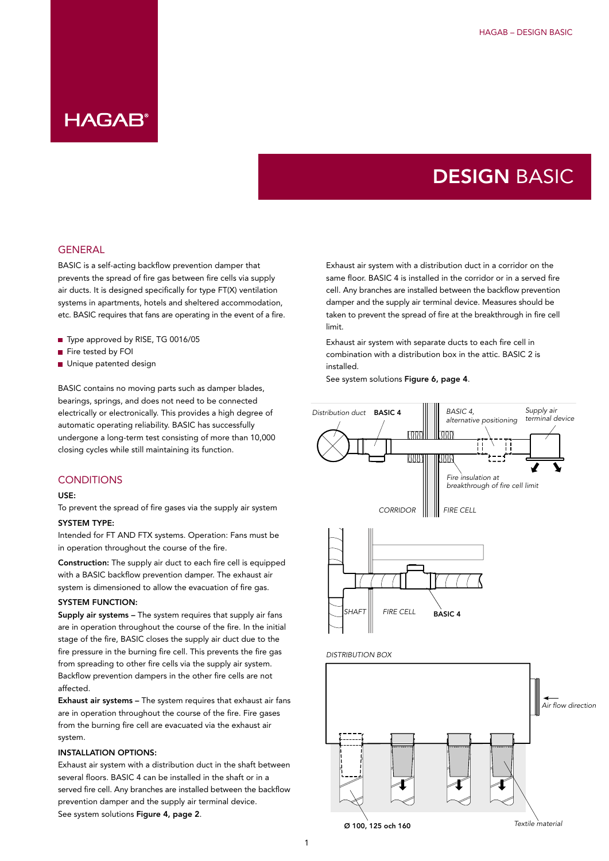# DESIGN BASIC

#### **GENERAL**

BASIC is a self-acting backflow prevention damper that prevents the spread of fire gas between fire cells via supply air ducts. It is designed specifically for type FT(X) ventilation systems in apartments, hotels and sheltered accommodation, etc. BASIC requires that fans are operating in the event of a fire.

- Type approved by RISE, TG 0016/05
- Fire tested by FOI
- Unique patented design

BASIC contains no moving parts such as damper blades, bearings, springs, and does not need to be connected electrically or electronically. This provides a high degree of automatic operating reliability. BASIC has successfully undergone a long-term test consisting of more than 10,000 closing cycles while still maintaining its function.

#### **CONDITIONS**

#### USE:

To prevent the spread of fire gases via the supply air system

#### SYSTEM TYPE:

Intended for FT AND FTX systems. Operation: Fans must be in operation throughout the course of the fire.

Construction: The supply air duct to each fire cell is equipped with a BASIC backflow prevention damper. The exhaust air system is dimensioned to allow the evacuation of fire gas.

#### SYSTEM FUNCTION:

Supply air systems – The system requires that supply air fans are in operation throughout the course of the fire. In the initial stage of the fire, BASIC closes the supply air duct due to the fire pressure in the burning fire cell. This prevents the fire gas from spreading to other fire cells via the supply air system. Backflow prevention dampers in the other fire cells are not affected.

Exhaust air systems – The system requires that exhaust air fans are in operation throughout the course of the fire. Fire gases from the burning fire cell are evacuated via the exhaust air system.

#### INSTALLATION OPTIONS:

Exhaust air system with a distribution duct in the shaft between several floors. BASIC 4 can be installed in the shaft or in a served fire cell. Any branches are installed between the backflow prevention damper and the supply air terminal device. See system solutions Figure 4, page 2.

Exhaust air system with a distribution duct in a corridor on the same floor. BASIC 4 is installed in the corridor or in a served fire cell. Any branches are installed between the backflow prevention damper and the supply air terminal device. Measures should be taken to prevent the spread of fire at the breakthrough in fire cell limit.

Exhaust air system with separate ducts to each fire cell in combination with a distribution box in the attic. BASIC 2 is installed.

See system solutions Figure 6, page 4.



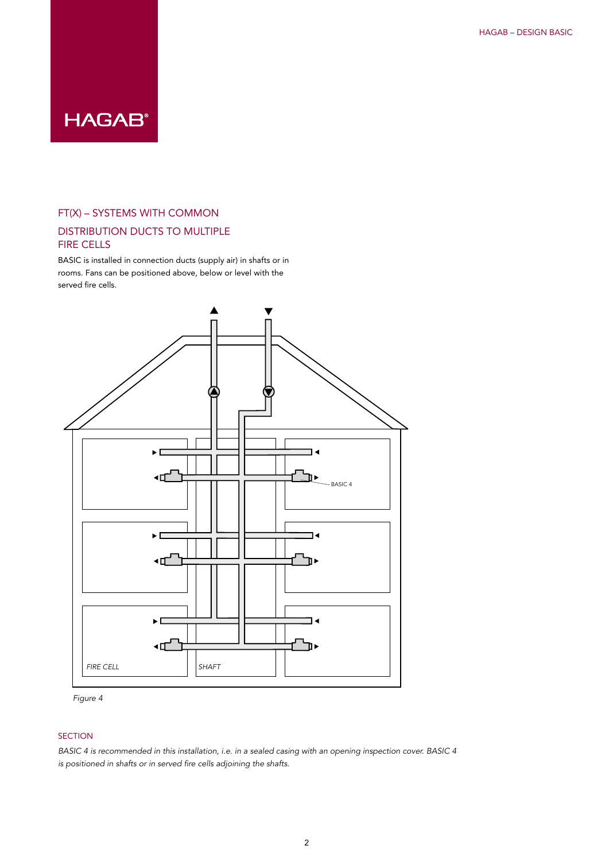### FT(X) – SYSTEMS WITH COMMON

## DISTRIBUTION DUCTS TO MULTIPLE FIRE CELLS

BASIC is installed in connection ducts (supply air) in shafts or in rooms. Fans can be positioned above, below or level with the served fire cells.





### SECTION

*BASIC 4 is recommended in this installation, i.e. in a sealed casing with an opening inspection cover. BASIC 4 is positioned in shafts or in served fire cells adjoining the shafts.*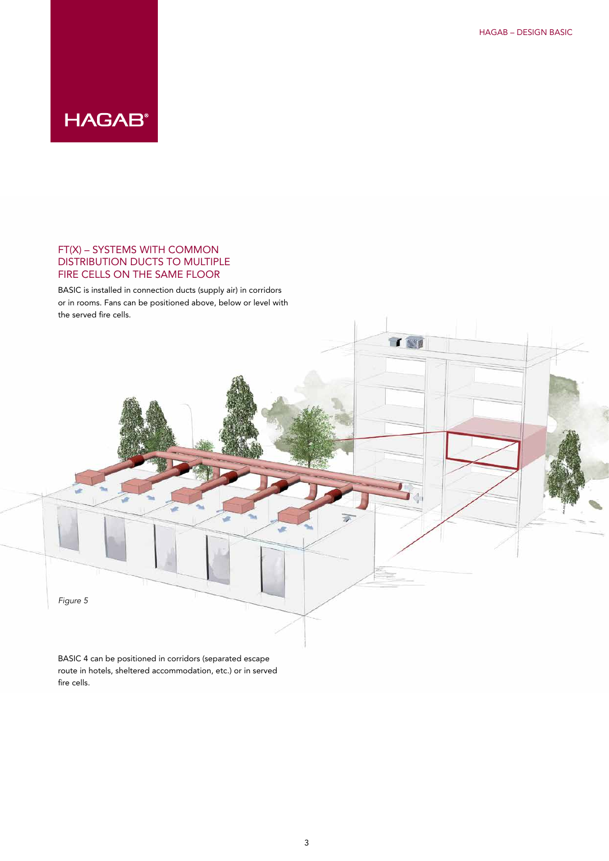### FT(X) – SYSTEMS WITH COMMON DISTRIBUTION DUCTS TO MULTIPLE FIRE CELLS ON THE SAME FLOOR

BASIC is installed in connection ducts (supply air) in corridors or in rooms. Fans can be positioned above, below or level with the served fire cells.



route in hotels, sheltered accommodation, etc.) or in served fire cells.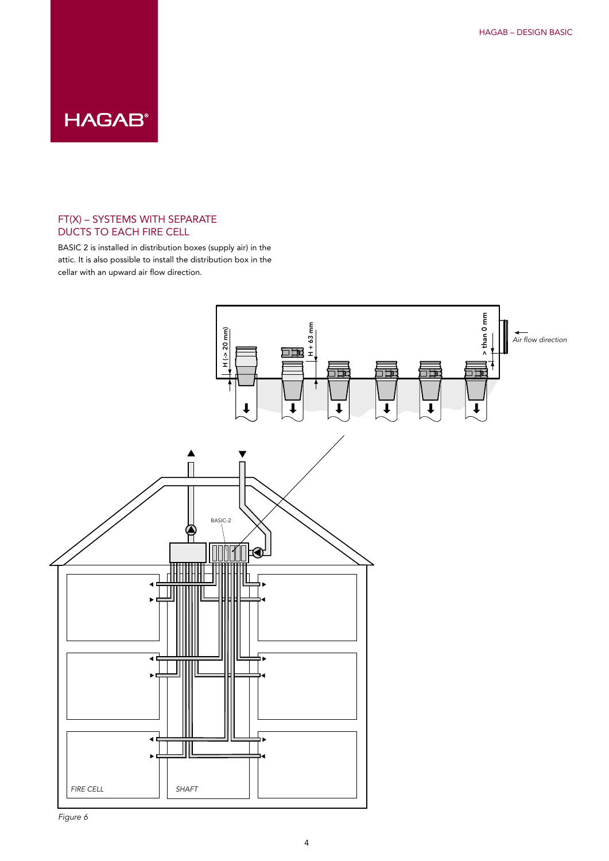### FT(X) – SYSTEMS WITH SEPARATE DUCTS TO EACH FIRE CELL

BASIC 2 is installed in distribution boxes (supply air) in the attic. It is also possible to install the distribution box in the cellar with an upward air flow direction.



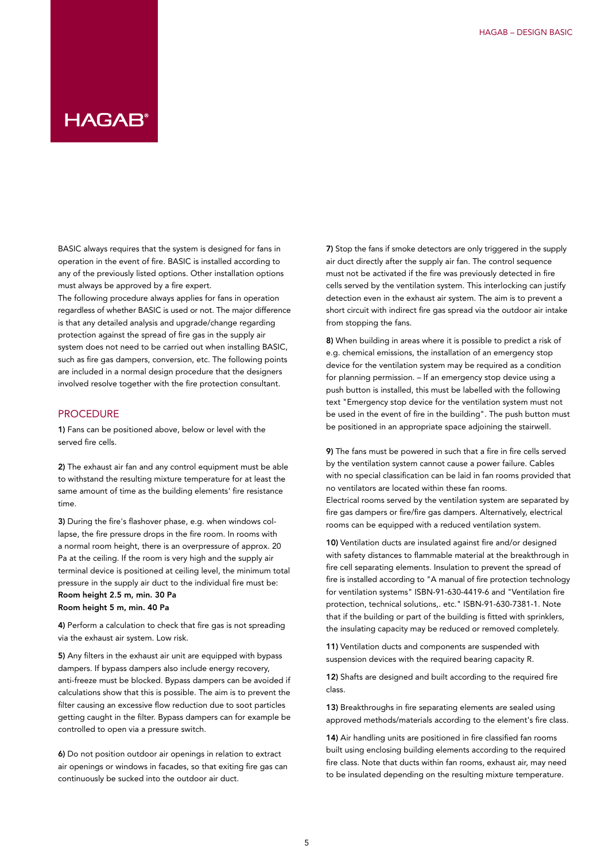## HAGAR®

BASIC always requires that the system is designed for fans in operation in the event of fire. BASIC is installed according to any of the previously listed options. Other installation options must always be approved by a fire expert.

The following procedure always applies for fans in operation regardless of whether BASIC is used or not. The major difference is that any detailed analysis and upgrade/change regarding protection against the spread of fire gas in the supply air system does not need to be carried out when installing BASIC, such as fire gas dampers, conversion, etc. The following points are included in a normal design procedure that the designers involved resolve together with the fire protection consultant.

#### **PROCEDURE**

1) Fans can be positioned above, below or level with the served fire cells.

2) The exhaust air fan and any control equipment must be able to withstand the resulting mixture temperature for at least the same amount of time as the building elements' fire resistance time.

3) During the fire's flashover phase, e.g. when windows collapse, the fire pressure drops in the fire room. In rooms with a normal room height, there is an overpressure of approx. 20 Pa at the ceiling. If the room is very high and the supply air terminal device is positioned at ceiling level, the minimum total pressure in the supply air duct to the individual fire must be: Room height 2.5 m, min. 30 Pa Room height 5 m, min. 40 Pa

4) Perform a calculation to check that fire gas is not spreading via the exhaust air system. Low risk.

5) Any filters in the exhaust air unit are equipped with bypass dampers. If bypass dampers also include energy recovery, anti-freeze must be blocked. Bypass dampers can be avoided if calculations show that this is possible. The aim is to prevent the filter causing an excessive flow reduction due to soot particles getting caught in the filter. Bypass dampers can for example be controlled to open via a pressure switch.

6) Do not position outdoor air openings in relation to extract air openings or windows in facades, so that exiting fire gas can continuously be sucked into the outdoor air duct.

7) Stop the fans if smoke detectors are only triggered in the supply air duct directly after the supply air fan. The control sequence must not be activated if the fire was previously detected in fire cells served by the ventilation system. This interlocking can justify detection even in the exhaust air system. The aim is to prevent a short circuit with indirect fire gas spread via the outdoor air intake from stopping the fans.

8) When building in areas where it is possible to predict a risk of e.g. chemical emissions, the installation of an emergency stop device for the ventilation system may be required as a condition for planning permission. – If an emergency stop device using a push button is installed, this must be labelled with the following text "Emergency stop device for the ventilation system must not be used in the event of fire in the building". The push button must be positioned in an appropriate space adjoining the stairwell.

9) The fans must be powered in such that a fire in fire cells served by the ventilation system cannot cause a power failure. Cables with no special classification can be laid in fan rooms provided that no ventilators are located within these fan rooms.

Electrical rooms served by the ventilation system are separated by fire gas dampers or fire/fire gas dampers. Alternatively, electrical rooms can be equipped with a reduced ventilation system.

10) Ventilation ducts are insulated against fire and/or designed with safety distances to flammable material at the breakthrough in fire cell separating elements. Insulation to prevent the spread of fire is installed according to "A manual of fire protection technology for ventilation systems" ISBN-91-630-4419-6 and "Ventilation fire protection, technical solutions,. etc." ISBN-91-630-7381-1. Note that if the building or part of the building is fitted with sprinklers, the insulating capacity may be reduced or removed completely.

11) Ventilation ducts and components are suspended with suspension devices with the required bearing capacity R.

12) Shafts are designed and built according to the required fire class.

13) Breakthroughs in fire separating elements are sealed using approved methods/materials according to the element's fire class.

14) Air handling units are positioned in fire classified fan rooms built using enclosing building elements according to the required fire class. Note that ducts within fan rooms, exhaust air, may need to be insulated depending on the resulting mixture temperature.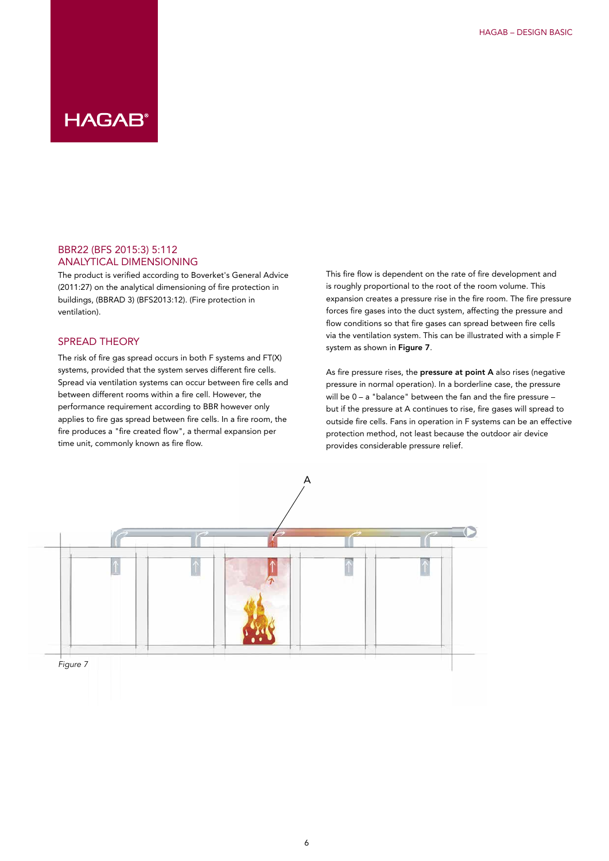#### BBR22 (BFS 2015:3) 5:112 ANALYTICAL DIMENSIONING

The product is verified according to Boverket's General Advice (2011:27) on the analytical dimensioning of fire protection in buildings, (BBRAD 3) (BFS2013:12). (Fire protection in ventilation).

### SPREAD THEORY

The risk of fire gas spread occurs in both  $F$  systems and  $FT(X)$ systems, provided that the system serves different fire cells. Spread via ventilation systems can occur between fire cells and between different rooms within a fire cell. However, the performance requirement according to BBR however only applies to fire gas spread between fire cells. In a fire room, the fire produces a "fire created flow", a thermal expansion per time unit, commonly known as fire flow.

This fire flow is dependent on the rate of fire development and is roughly proportional to the root of the room volume. This expansion creates a pressure rise in the fire room. The fire pressure forces fire gases into the duct system, affecting the pressure and flow conditions so that fire gases can spread between fire cells via the ventilation system. This can be illustrated with a simple F system as shown in Figure 7.

As fire pressure rises, the pressure at point A also rises (negative pressure in normal operation). In a borderline case, the pressure will be  $0 - a$  "balance" between the fan and the fire pressure  $$ but if the pressure at A continues to rise, fire gases will spread to outside fire cells. Fans in operation in F systems can be an effective protection method, not least because the outdoor air device provides considerable pressure relief.

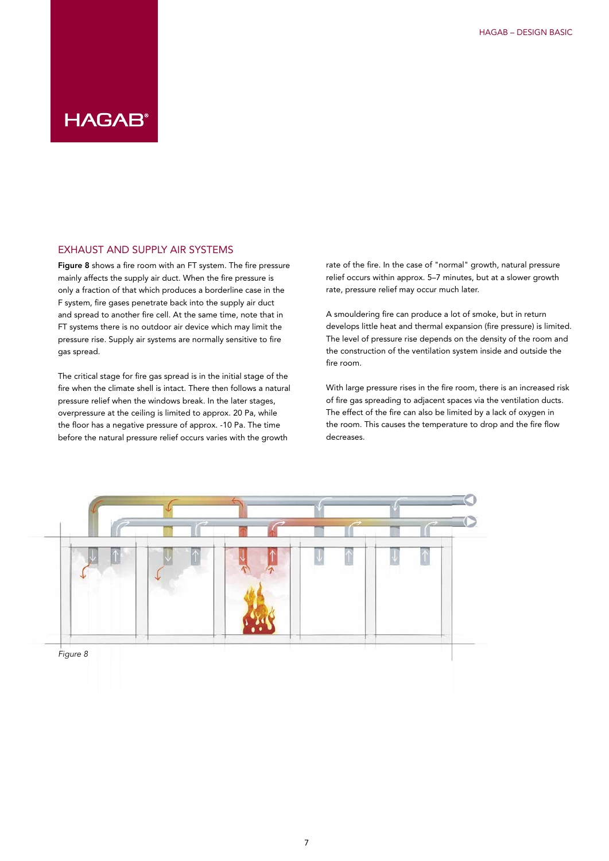#### EXHAUST AND SUPPLY AIR SYSTEMS

Figure 8 shows a fire room with an FT system. The fire pressure mainly affects the supply air duct. When the fire pressure is only a fraction of that which produces a borderline case in the F system, fire gases penetrate back into the supply air duct and spread to another fire cell. At the same time, note that in FT systems there is no outdoor air device which may limit the pressure rise. Supply air systems are normally sensitive to fire gas spread.

The critical stage for fire gas spread is in the initial stage of the fire when the climate shell is intact. There then follows a natural pressure relief when the windows break. In the later stages, overpressure at the ceiling is limited to approx. 20 Pa, while the floor has a negative pressure of approx. -10 Pa. The time before the natural pressure relief occurs varies with the growth

rate of the fire. In the case of "normal" growth, natural pressure relief occurs within approx. 5–7 minutes, but at a slower growth rate, pressure relief may occur much later.

A smouldering fire can produce a lot of smoke, but in return develops little heat and thermal expansion (fire pressure) is limited. The level of pressure rise depends on the density of the room and the construction of the ventilation system inside and outside the fire room.

With large pressure rises in the fire room, there is an increased risk of fire gas spreading to adjacent spaces via the ventilation ducts. The effect of the fire can also be limited by a lack of oxygen in the room. This causes the temperature to drop and the fire flow decreases.